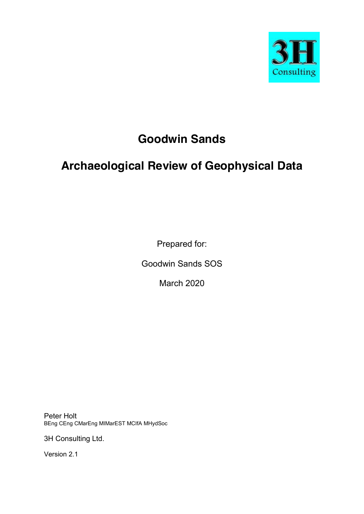

# **Goodwin Sands**

# **Archaeological Review of Geophysical Data**

Prepared for:

Goodwin Sands SOS

March 2020

Peter Holt BEng CEng CMarEng MIMarEST MCIfA MHydSoc

3H Consulting Ltd.

Version 2.1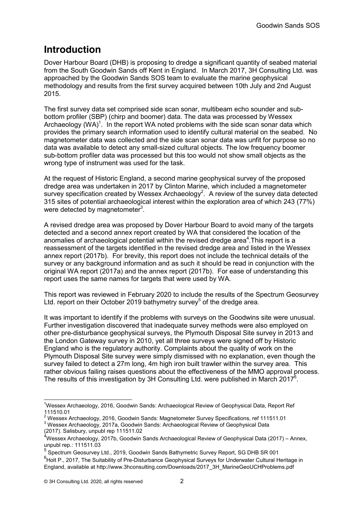# **Introduction**

Dover Harbour Board (DHB) is proposing to dredge a significant quantity of seabed material from the South Goodwin Sands off Kent in England. In March 2017, 3H Consulting Ltd. was approached by the Goodwin Sands SOS team to evaluate the marine geophysical methodology and results from the first survey acquired between 10th July and 2nd August 2015.

The first survey data set comprised side scan sonar, multibeam echo sounder and subbottom profiler (SBP) (chirp and boomer) data. The data was processed by Wessex Archaeology (WA)<sup>1</sup>. In the report WA noted problems with the side scan sonar data which provides the primary search information used to identify cultural material on the seabed. No magnetometer data was collected and the side scan sonar data was unfit for purpose so no data was available to detect any small-sized cultural objects. The low frequency boomer sub-bottom profiler data was processed but this too would not show small objects as the wrong type of instrument was used for the task.

At the request of Historic England, a second marine geophysical survey of the proposed dredge area was undertaken in 2017 by Clinton Marine, which included a magnetometer survey specification created by Wessex Archaeology<sup>2</sup>. A review of the survey data detected 315 sites of potential archaeological interest within the exploration area of which 243 (77%) were detected by magnetometer $3$ .

A revised dredge area was proposed by Dover Harbour Board to avoid many of the targets detected and a second annex report created by WA that considered the location of the anomalies of archaeological potential within the revised dredge area $4$ . This report is a reassessment of the targets identified in the revised dredge area and listed in the Wessex annex report (2017b). For brevity, this report does not include the technical details of the survey or any background information and as such it should be read in conjunction with the original WA report (2017a) and the annex report (2017b). For ease of understanding this report uses the same names for targets that were used by WA.

This report was reviewed in February 2020 to include the results of the Spectrum Geosurvey Ltd. report on their October 2019 bathymetry survey<sup>5</sup> of the dredge area.

It was important to identify if the problems with surveys on the Goodwins site were unusual. Further investigation discovered that inadequate survey methods were also employed on other pre-disturbance geophysical surveys, the Plymouth Disposal Site survey in 2013 and the London Gateway survey in 2010, yet all three surveys were signed off by Historic England who is the regulatory authority. Complaints about the quality of work on the Plymouth Disposal Site survey were simply dismissed with no explanation, even though the survey failed to detect a 27m long, 4m high iron built trawler within the survey area. This rather obvious failing raises questions about the effectiveness of the MMO approval process. The results of this investigation by 3H Consulting Ltd. were published in March 2017 $^6$ .

 <sup>1</sup> Wessex Archaeology, 2016, Goodwin Sands: Archaeological Review of Geophysical Data, Report Ref 111510.01<br><sup>2</sup> Wessex Archaeology, 2016. Goodwin Sands: Magnetometer Survey Specifications, ref 111511.01

<sup>2</sup> Wessex Archaeology, 2017a, Goodwin Sands: Archaeological Review of Geophysical Data

<sup>(2017).</sup> Salisbury, unpubl rep 111511.02

<sup>&</sup>lt;sup>4</sup>Wessex Archaeology, 2017b, Goodwin Sands Archaeological Review of Geophysical Data (2017) – Annex, unpubl rep.: 111511.03

<sup>&</sup>lt;sup>5</sup> Spectrum Geosurvey Ltd., 2019, Goodwin Sands Bathymetric Survey Report, SG DHB SR 001

<sup>&</sup>lt;sup>6</sup>Holt P., 2017, The Suitability of Pre-Disturbance Geophysical Surveys for Underwater Cultural Heritage in England, available at http://www.3hconsulting.com/Downloads/2017\_3H\_MarineGeoUCHProblems.pdf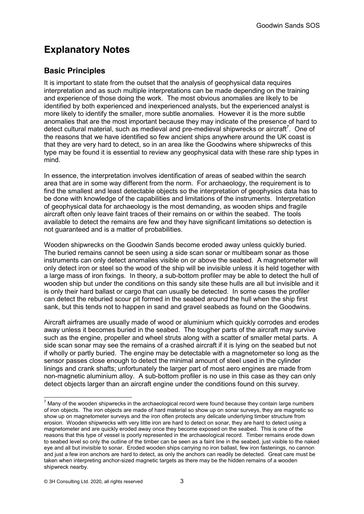# **Explanatory Notes**

## **Basic Principles**

It is important to state from the outset that the analysis of geophysical data requires interpretation and as such multiple interpretations can be made depending on the training and experience of those doing the work. The most obvious anomalies are likely to be identified by both experienced and inexperienced analysts, but the experienced analyst is more likely to identify the smaller, more subtle anomalies. However it is the more subtle anomalies that are the most important because they may indicate of the presence of hard to detect cultural material, such as medieval and pre-medieval shipwrecks or aircraft<sup>7</sup>. One of the reasons that we have identified so few ancient ships anywhere around the UK coast is that they are very hard to detect, so in an area like the Goodwins where shipwrecks of this type may be found it is essential to review any geophysical data with these rare ship types in mind.

In essence, the interpretation involves identification of areas of seabed within the search area that are in some way different from the norm. For archaeology, the requirement is to find the smallest and least detectable objects so the interpretation of geophysics data has to be done with knowledge of the capabilities and limitations of the instruments. Interpretation of geophysical data for archaeology is the most demanding, as wooden ships and fragile aircraft often only leave faint traces of their remains on or within the seabed. The tools available to detect the remains are few and they have significant limitations so detection is not guaranteed and is a matter of probabilities.

Wooden shipwrecks on the Goodwin Sands become eroded away unless quickly buried. The buried remains cannot be seen using a side scan sonar or multibeam sonar as those instruments can only detect anomalies visible on or above the seabed. A magnetometer will only detect iron or steel so the wood of the ship will be invisible unless it is held together with a large mass of iron fixings. In theory, a sub-bottom profiler may be able to detect the hull of wooden ship but under the conditions on this sandy site these hulls are all but invisible and it is only their hard ballast or cargo that can usually be detected. In some cases the profiler can detect the reburied scour pit formed in the seabed around the hull when the ship first sank, but this tends not to happen in sand and gravel seabeds as found on the Goodwins.

Aircraft airframes are usually made of wood or aluminium which quickly corrodes and erodes away unless it becomes buried in the seabed. The tougher parts of the aircraft may survive such as the engine, propeller and wheel struts along with a scatter of smaller metal parts. A side scan sonar may see the remains of a crashed aircraft if it is lying on the seabed but not if wholly or partly buried. The engine may be detectable with a magnetometer so long as the sensor passes close enough to detect the minimal amount of steel used in the cylinder linings and crank shafts; unfortunately the larger part of most aero engines are made from non-magnetic aluminium alloy. A sub-bottom profiler is no use in this case as they can only detect objects larger than an aircraft engine under the conditions found on this survey.

 $7$  Many of the wooden shipwrecks in the archaeological record were found because they contain large numbers of iron objects. The iron objects are made of hard material so show up on sonar surveys, they are magnetic so show up on magnetometer surveys and the iron often protects any delicate underlying timber structure from erosion. Wooden shipwrecks with very little iron are hard to detect on sonar, they are hard to detect using a magnetometer and are quickly eroded away once they become exposed on the seabed. This is one of the reasons that this type of vessel is poorly represented in the archaeological record. Timber remains erode down to seabed level so only the outline of the timber can be seen as a faint line in the seabed, just visible to the naked eye and all but invisible to sonar. Eroded wooden ships carrying no iron ballast, few iron fastenings, no cannon and just a few iron anchors are hard to detect, as only the anchors can readily be detected. Great care must be taken when interpreting anchor-sized magnetic targets as there may be the hidden remains of a wooden shipwreck nearby.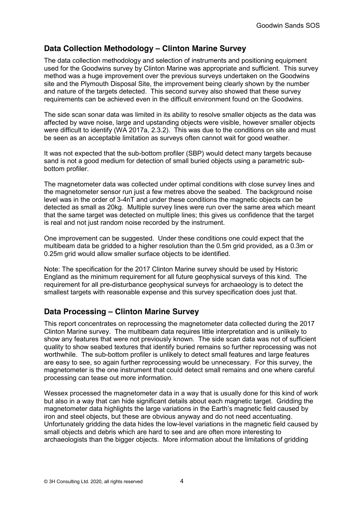## **Data Collection Methodology – Clinton Marine Survey**

The data collection methodology and selection of instruments and positioning equipment used for the Goodwins survey by Clinton Marine was appropriate and sufficient. This survey method was a huge improvement over the previous surveys undertaken on the Goodwins site and the Plymouth Disposal Site, the improvement being clearly shown by the number and nature of the targets detected. This second survey also showed that these survey requirements can be achieved even in the difficult environment found on the Goodwins.

The side scan sonar data was limited in its ability to resolve smaller objects as the data was affected by wave noise, large and upstanding objects were visible, however smaller objects were difficult to identify (WA 2017a, 2.3.2). This was due to the conditions on site and must be seen as an acceptable limitation as surveys often cannot wait for good weather.

It was not expected that the sub-bottom profiler (SBP) would detect many targets because sand is not a good medium for detection of small buried objects using a parametric subbottom profiler.

The magnetometer data was collected under optimal conditions with close survey lines and the magnetometer sensor run just a few metres above the seabed. The background noise level was in the order of 3-4nT and under these conditions the magnetic objects can be detected as small as 20kg. Multiple survey lines were run over the same area which meant that the same target was detected on multiple lines; this gives us confidence that the target is real and not just random noise recorded by the instrument.

One improvement can be suggested. Under these conditions one could expect that the multibeam data be gridded to a higher resolution than the 0.5m grid provided, as a 0.3m or 0.25m grid would allow smaller surface objects to be identified.

Note: The specification for the 2017 Clinton Marine survey should be used by Historic England as the minimum requirement for all future geophysical surveys of this kind. The requirement for all pre-disturbance geophysical surveys for archaeology is to detect the smallest targets with reasonable expense and this survey specification does just that.

## **Data Processing – Clinton Marine Survey**

This report concentrates on reprocessing the magnetometer data collected during the 2017 Clinton Marine survey. The multibeam data requires little interpretation and is unlikely to show any features that were not previously known. The side scan data was not of sufficient quality to show seabed textures that identify buried remains so further reprocessing was not worthwhile. The sub-bottom profiler is unlikely to detect small features and large features are easy to see, so again further reprocessing would be unnecessary. For this survey, the magnetometer is the one instrument that could detect small remains and one where careful processing can tease out more information.

Wessex processed the magnetometer data in a way that is usually done for this kind of work but also in a way that can hide significant details about each magnetic target. Gridding the magnetometer data highlights the large variations in the Earth's magnetic field caused by iron and steel objects, but these are obvious anyway and do not need accentuating. Unfortunately gridding the data hides the low-level variations in the magnetic field caused by small objects and debris which are hard to see and are often more interesting to archaeologists than the bigger objects. More information about the limitations of gridding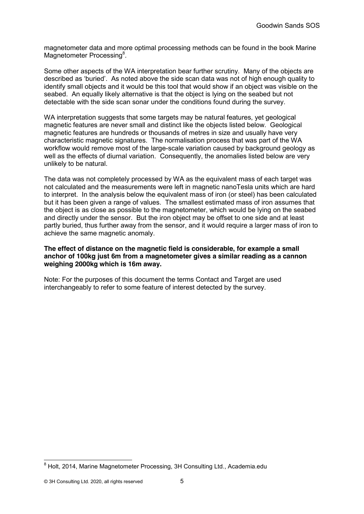magnetometer data and more optimal processing methods can be found in the book Marine Magnetometer Processing<sup>8</sup>.

Some other aspects of the WA interpretation bear further scrutiny. Many of the objects are described as 'buried'. As noted above the side scan data was not of high enough quality to identify small objects and it would be this tool that would show if an object was visible on the seabed. An equally likely alternative is that the object is lying on the seabed but not detectable with the side scan sonar under the conditions found during the survey.

WA interpretation suggests that some targets may be natural features, yet geological magnetic features are never small and distinct like the objects listed below. Geological magnetic features are hundreds or thousands of metres in size and usually have very characteristic magnetic signatures. The normalisation process that was part of the WA workflow would remove most of the large-scale variation caused by background geology as well as the effects of diurnal variation. Consequently, the anomalies listed below are very unlikely to be natural.

The data was not completely processed by WA as the equivalent mass of each target was not calculated and the measurements were left in magnetic nanoTesla units which are hard to interpret. In the analysis below the equivalent mass of iron (or steel) has been calculated but it has been given a range of values. The smallest estimated mass of iron assumes that the object is as close as possible to the magnetometer, which would be lying on the seabed and directly under the sensor. But the iron object may be offset to one side and at least partly buried, thus further away from the sensor, and it would require a larger mass of iron to achieve the same magnetic anomaly.

#### **The effect of distance on the magnetic field is considerable, for example a small anchor of 100kg just 6m from a magnetometer gives a similar reading as a cannon weighing 2000kg which is 16m away.**

Note: For the purposes of this document the terms Contact and Target are used interchangeably to refer to some feature of interest detected by the survey.

<sup>&</sup>lt;sup>8</sup> Holt, 2014, Marine Magnetometer Processing, 3H Consulting Ltd., Academia.edu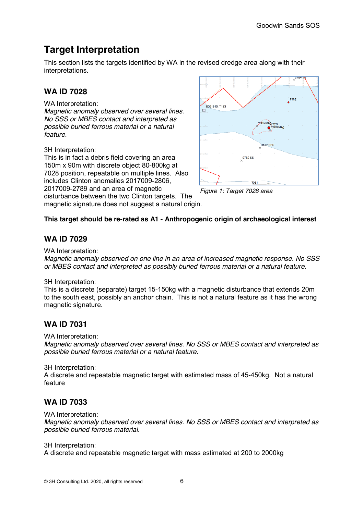# **Target Interpretation**

This section lists the targets identified by WA in the revised dredge area along with their interpretations.

# **WA ID 7028**

WA Interpretation:

*Magnetic anomaly observed over several lines. No SSS or MBES contact and interpreted as possible buried ferrous material or a natural feature.*

3H Interpretation:

This is in fact a debris field covering an area 150m x 90m with discrete object 80-800kg at 7028 position, repeatable on multiple lines. Also includes Clinton anomalies 2017009-2806, 2017009-2789 and an area of magnetic disturbance between the two Clinton targets. The

magnetic signature does not suggest a natural origin.



*Figure 1: Target 7028 area*

### **This target should be re-rated as A1 - Anthropogenic origin of archaeological interest**

## **WA ID 7029**

WA Interpretation:

*Magnetic anomaly observed on one line in an area of increased magnetic response. No SSS or MBES contact and interpreted as possibly buried ferrous material or a natural feature.*

3H Interpretation:

This is a discrete (separate) target 15-150kg with a magnetic disturbance that extends 20m to the south east, possibly an anchor chain. This is not a natural feature as it has the wrong magnetic signature.

## **WA ID 7031**

WA Interpretation:

*Magnetic anomaly observed over several lines. No SSS or MBES contact and interpreted as possible buried ferrous material or a natural feature.*

3H Interpretation:

A discrete and repeatable magnetic target with estimated mass of 45-450kg. Not a natural feature

# **WA ID 7033**

WA Interpretation:

*Magnetic anomaly observed over several lines. No SSS or MBES contact and interpreted as possible buried ferrous material.*

3H Interpretation:

A discrete and repeatable magnetic target with mass estimated at 200 to 2000kg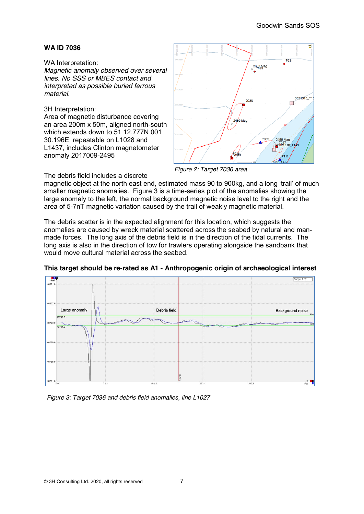#### WA Interpretation:

*Magnetic anomaly observed over several lines. No SSS or MBES contact and interpreted as possible buried ferrous material.*

#### 3H Interpretation:

Area of magnetic disturbance covering an area 200m x 50m, aligned north-south which extends down to 51 12.777N 001 30.196E, repeatable on L1028 and L1437, includes Clinton magnetometer anomaly 2017009-2495



*Figure 2: Target 7036 area*

The debris field includes a discrete

magnetic object at the north east end, estimated mass 90 to 900kg, and a long 'trail' of much smaller magnetic anomalies. Figure 3 is a time-series plot of the anomalies showing the large anomaly to the left, the normal background magnetic noise level to the right and the area of 5-7nT magnetic variation caused by the trail of weakly magnetic material.

The debris scatter is in the expected alignment for this location, which suggests the anomalies are caused by wreck material scattered across the seabed by natural and manmade forces. The long axis of the debris field is in the direction of the tidal currents. The long axis is also in the direction of tow for trawlers operating alongside the sandbank that would move cultural material across the seabed.



**This target should be re-rated as A1 - Anthropogenic origin of archaeological interest**

*Figure 3: Target 7036 and debris field anomalies, line L1027*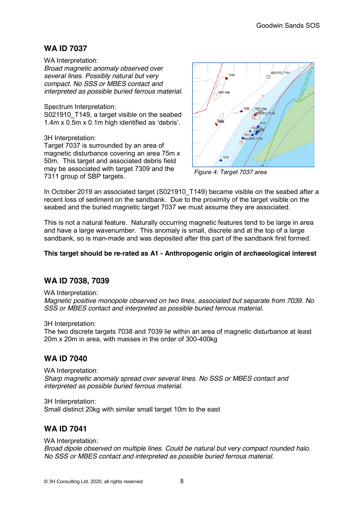WA Interpretation: *Broad magnetic anomaly observed over several lines. Possibly natural but very compact. No SSS or MBES contact and interpreted as possible buried ferrous material.*

Spectrum Interpretation:

S021910 T149, a target visible on the seabed 1.4m x 0.5m x 0.1m high identified as 'debris'.

3H Interpretation:

Target 7037 is surrounded by an area of magnetic disturbance covering an area 75m x 50m. This target and associated debris field may be associated with target 7309 and the 7311 group of SBP targets.



*Figure 4: Target 7037 area*

In October 2019 an associated target (S021910 T149) became visible on the seabed after a recent loss of sediment on the sandbank. Due to the proximity of the target visible on the seabed and the buried magnetic target 7037 we must assume they are associated.

This is not a natural feature. Naturally occurring magnetic features tend to be large in area and have a large wavenumber. This anomaly is small, discrete and at the top of a large sandbank, so is man-made and was deposited after this part of the sandbank first formed.

#### **This target should be re-rated as A1 - Anthropogenic origin of archaeological interest**

## **WA ID 7038, 7039**

WA Interpretation:

*Magnetic positive monopole observed on two lines, associated but separate from 7039. No SSS or MBES contact and interpreted as possible buried ferrous material.*

3H Interpretation:

The two discrete targets 7038 and 7039 lie within an area of magnetic disturbance at least 20m x 20m in area, with masses in the order of 300-400kg

## **WA ID 7040**

WA Interpretation: *Sharp magnetic anomaly spread over several lines. No SSS or MBES contact and interpreted as possible buried ferrous material.*

3H Interpretation: Small distinct 20kg with similar small target 10m to the east

### **WA ID 7041**

#### WA Interpretation:

*Broad dipole observed on multiple lines. Could be natural but very compact rounded halo. No SSS or MBES contact and interpreted as possible buried ferrous material.*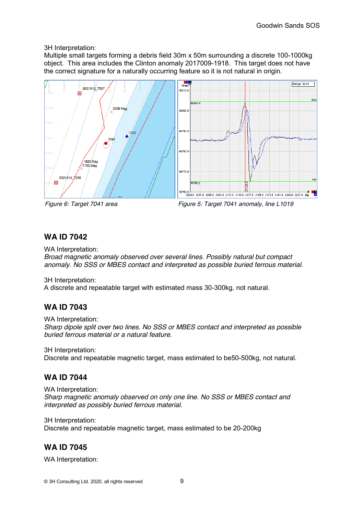#### 3H Interpretation:

Multiple small targets forming a debris field 30m x 50m surrounding a discrete 100-1000kg object. This area includes the Clinton anomaly 2017009-1918. This target does not have the correct signature for a naturally occurring feature so it is not natural in origin.





*Figure 6: Target 7041 area Figure 5: Target 7041 anomaly, line L1019*

### **WA ID 7042**

WA Interpretation:

*Broad magnetic anomaly observed over several lines. Possibly natural but compact anomaly. No SSS or MBES contact and interpreted as possible buried ferrous material.*

3H Interpretation:

A discrete and repeatable target with estimated mass 30-300kg, not natural.

### **WA ID 7043**

WA Interpretation:

*Sharp dipole split over two lines. No SSS or MBES contact and interpreted as possible buried ferrous material or a natural feature.*

3H Interpretation:

Discrete and repeatable magnetic target, mass estimated to be50-500kg, not natural.

### **WA ID 7044**

WA Interpretation: *Sharp magnetic anomaly observed on only one line. No SSS or MBES contact and interpreted as possibly buried ferrous material.*

3H Interpretation:

Discrete and repeatable magnetic target, mass estimated to be 20-200kg

### **WA ID 7045**

WA Interpretation: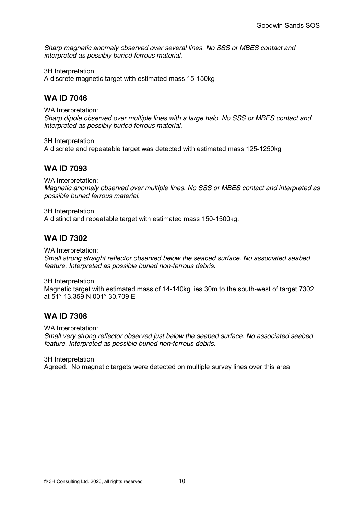*Sharp magnetic anomaly observed over several lines. No SSS or MBES contact and interpreted as possibly buried ferrous material.*

3H Interpretation:

A discrete magnetic target with estimated mass 15-150kg

## **WA ID 7046**

WA Interpretation: *Sharp dipole observed over multiple lines with a large halo. No SSS or MBES contact and interpreted as possibly buried ferrous material.*

3H Interpretation: A discrete and repeatable target was detected with estimated mass 125-1250kg

## **WA ID 7093**

WA Interpretation: *Magnetic anomaly observed over multiple lines. No SSS or MBES contact and interpreted as possible buried ferrous material.*

3H Interpretation: A distinct and repeatable target with estimated mass 150-1500kg.

## **WA ID 7302**

WA Interpretation:

*Small strong straight reflector observed below the seabed surface. No associated seabed feature. Interpreted as possible buried non-ferrous debris.*

3H Interpretation:

Magnetic target with estimated mass of 14-140kg lies 30m to the south-west of target 7302 at 51° 13.359 N 001° 30.709 E

### **WA ID 7308**

WA Interpretation:

*Small very strong reflector observed just below the seabed surface. No associated seabed feature. Interpreted as possible buried non-ferrous debris.*

3H Interpretation: Agreed. No magnetic targets were detected on multiple survey lines over this area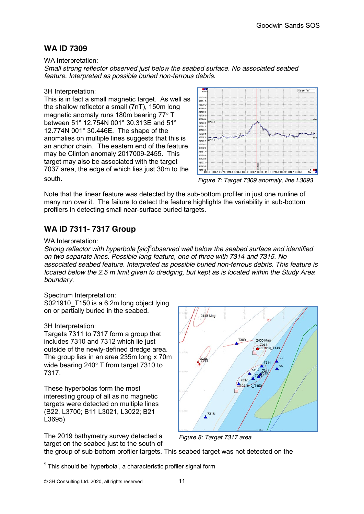WA Interpretation:

*Small strong reflector observed just below the seabed surface. No associated seabed feature. Interpreted as possible buried non-ferrous debris.*

#### 3H Interpretation:

This is in fact a small magnetic target. As well as the shallow reflector a small (7nT), 150m long magnetic anomaly runs 180m bearing 77° T between 51° 12.754N 001° 30.313E and 51° 12.774N 001° 30.446E. The shape of the anomalies on multiple lines suggests that this is an anchor chain. The eastern end of the feature may be Clinton anomaly 2017009-2455. This target may also be associated with the target 7037 area, the edge of which lies just 30m to the south.



*Figure 7: Target 7309 anomaly, line L3693*

Note that the linear feature was detected by the sub-bottom profiler in just one runline of many run over it. The failure to detect the feature highlights the variability in sub-bottom profilers in detecting small near-surface buried targets.

# **WA ID 7311- 7317 Group**

#### WA Interpretation:

*Strong reflector with hyperbole [sic]<sup>9</sup>observed well below the seabed surface and identified on two separate lines. Possible long feature, one of three with 7314 and 7315. No associated seabed feature. Interpreted as possible buried non-ferrous debris. This feature is located below the 2.5 m limit given to dredging, but kept as is located within the Study Area boundary.*

#### Spectrum Interpretation:

S021910 T150 is a 6.2m long object lying on or partially buried in the seabed.

#### 3H Interpretation:

Targets 7311 to 7317 form a group that includes 7310 and 7312 which lie just outside of the newly-defined dredge area. The group lies in an area 235m long x 70m wide bearing 240° T from target 7310 to 7317.

These hyperbolas form the most interesting group of all as no magnetic targets were detected on multiple lines (B22, L3700; B11 L3021, L3022; B21 L3695)

The 2019 bathymetry survey detected a target on the seabed just to the south of



*Figure 8: Target 7317 area*

the group of sub-bottom profiler targets. This seabed target was not detected on the

 $9$  This should be 'hyperbola', a characteristic profiler signal form

<sup>© 3</sup>H Consulting Ltd. 2020, all rights reserved 11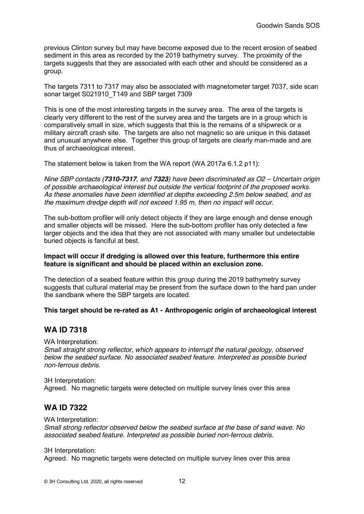previous Clinton survey but may have become exposed due to the recent erosion of seabed sediment in this area as recorded by the 2019 bathymetry survey. The proximity of the targets suggests that they are associated with each other and should be considered as a group.

The targets 7311 to 7317 may also be associated with magnetometer target 7037, side scan sonar target S021910 T149 and SBP target 7309

This is one of the most interesting targets in the survey area. The area of the targets is clearly very different to the rest of the survey area and the targets are in a group which is comparatively small in size, which suggests that this is the remains of a shipwreck or a military aircraft crash site. The targets are also not magnetic so are unique in this dataset and unusual anywhere else. Together this group of targets are clearly man-made and are thus of archaeological interest.

The statement below is taken from the WA report (WA 2017a 6.1.2 p11):

*Nine SBP contacts (7310-7317, and 7323) have been discriminated as O2 – Uncertain origin of possible archaeological interest but outside the vertical footprint of the proposed works. As these anomalies have been identified at depths exceeding 2.5m below seabed, and as the maximum dredge depth will not exceed 1.95 m, then no impact will occur.*

The sub-bottom profiler will only detect objects if they are large enough and dense enough and smaller objects will be missed. Here the sub-bottom profiler has only detected a few larger objects and the idea that they are not associated with many smaller but undetectable buried objects is fanciful at best.

#### **Impact will occur if dredging is allowed over this feature, furthermore this entire feature is significant and should be placed within an exclusion zone.**

The detection of a seabed feature within this group during the 2019 bathymetry survey suggests that cultural material may be present from the surface down to the hard pan under the sandbank where the SBP targets are located.

#### **This target should be re-rated as A1 - Anthropogenic origin of archaeological interest**

#### **WA ID 7318**

WA Interpretation:

*Small straight strong reflector, which appears to interrupt the natural geology, observed below the seabed surface. No associated seabed feature. Interpreted as possible buried non-ferrous debris.*

3H Interpretation: Agreed. No magnetic targets were detected on multiple survey lines over this area

### **WA ID 7322**

WA Interpretation:

*Small strong reflector observed below the seabed surface at the base of sand wave. No associated seabed feature. Interpreted as possible buried non-ferrous debris.*

3H Interpretation:

Agreed. No magnetic targets were detected on multiple survey lines over this area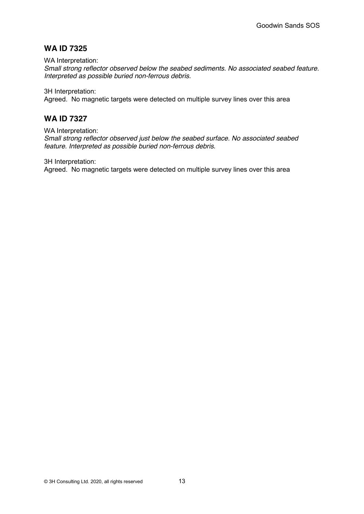WA Interpretation:

*Small strong reflector observed below the seabed sediments. No associated seabed feature. Interpreted as possible buried non-ferrous debris.*

3H Interpretation:

Agreed. No magnetic targets were detected on multiple survey lines over this area

#### **WA ID 7327**

WA Interpretation:

*Small strong reflector observed just below the seabed surface. No associated seabed feature. Interpreted as possible buried non-ferrous debris.*

3H Interpretation:

Agreed. No magnetic targets were detected on multiple survey lines over this area